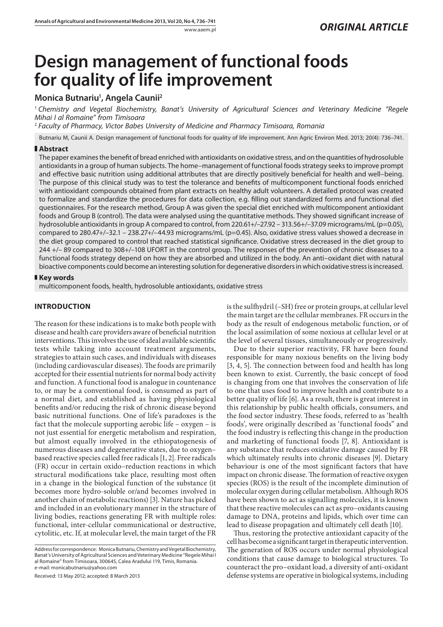# **Design management of functional foods for quality of life improvement**

## **Monica Butnariu1 , Angela Caunii2**

<sup>1</sup> *Chemistry and Vegetal Biochemistry, Banat's University of Agricultural Sciences and Veterinary Medicine "Regele Mihai I al Romaine" from Timisoara*

<sup>2</sup> *Faculty of Pharmacy, Victor Babes University of Medicine and Pharmacy Timisoara, Romania*

Butnariu M, Caunii A. Design management of functional foods for quality of life improvement. Ann Agric Environ Med. 2013; 20(4): 736–741.

### **Abstract**

The paper examines the benefit of bread enriched with antioxidants on oxidative stress, and on the quantities of hydrosoluble antioxidants in a group of human subjects. The home–management of functional foods strategy seeks to improve prompt and effective basic nutrition using additional attributes that are directly positively beneficial for health and well–being. The purpose of this clinical study was to test the tolerance and benefits of multicomponent functional foods enriched with antioxidant compounds obtained from plant extracts on healthy adult volunteers. A detailed protocol was created to formalize and standardize the procedures for data collection, e.g. filling out standardized forms and functional diet questionnaires. For the research method, Group A was given the special diet enriched with multicomponent antioxidant foods and Group B (control). The data were analysed using the quantitative methods. They showed significant increase of hydrosoluble antioxidants in group A compared to control, from 220.61+/-27.92 - 313.56+/-37.09 micrograms/mL (p=0.05), compared to 280.47+/–32.1 – 238.27+/–44.93 micrograms/mL (p=0.45). Also, oxidative stress values showed a decrease in the diet group compared to control that reached statistical significance. Oxidative stress decreased in the diet group to 244 +/– 89 compared to 308+/–108 UFORT in the control group. The responses of the prevention of chronic diseases to a functional foods strategy depend on how they are absorbed and utilized in the body. An anti–oxidant diet with natural bioactive components could become an interesting solution for degenerative disorders in which oxidative stress is increased.

#### **Key words**

multicomponent foods, health, hydrosoluble antioxidants, oxidative stress

## **INTRODUCTION**

The reason for these indications is to make both people with disease and health care providers aware of beneficial nutrition interventions. This involves the use of ideal available scientific tests while taking into account treatment arguments, strategies to attain such cases, and individuals with diseases (including cardiovascular diseases). The foods are primarily accepted for their essential nutrients for normal body activity and function. A functional food is analogue in countenance to, or may be a conventional food, is consumed as part of a normal diet, and established as having physiological benefits and/or reducing the risk of chronic disease beyond basic nutritional functions. One of life's paradoxes is the fact that the molecule supporting aerobic life – oxygen – is not just essential for energetic metabolism and respiration, but almost equally involved in the ethiopatogenesis of numerous diseases and degenerative states, due to oxygen– based reactive species called free radicals [1, 2]. Free radicals (FR) occur in certain oxido–reduction reactions in which structural modifications take place, resulting most often in a change in the biological function of the substance (it becomes more hydro-soluble or/and becomes involved in another chain of metabolic reactions) [3]. Nature has picked and included in an evolutionary manner in the structure of living bodies, reactions generating FR with multiple roles: functional, inter-cellular communicational or destructive, cytolitic, etc. If, at molecular level, the main target of the FR

Received: 13 May 2012; accepted: 8 March 2013

is the sulfhydril (–SH) free or protein groups, at cellular level the main target are the cellular membranes. FR occurs in the body as the result of endogenous metabolic function, or of the local assimilation of some noxious at cellular level or at the level of several tissues, simultaneously or progressively.

Due to their superior reactivity, FR have been found responsible for many noxious benefits on the living body [3, 4, 5]. The connection between food and health has long been known to exist. Currently, the basic concept of food is changing from one that involves the conservation of life to one that uses food to improve health and contribute to a better quality of life [6]. As a result, there is great interest in this relationship by public health officials, consumers, and the food sector industry. These foods, referred to as 'health foods', were originally described as 'functional foods" and the food industry is reflecting this change in the production and marketing of functional foods [7, 8]. Antioxidant is any substance that reduces oxidative damage caused by FR which ultimately results into chronic diseases [9]. Dietary behaviour is one of the most significant factors that have impact on chronic disease. The formation of reactive oxygen species (ROS) is the result of the incomplete diminution of molecular oxygen during cellular metabolism. Although ROS have been shown to act as signalling molecules, it is known that these reactive molecules can act as pro–oxidants causing damage to DNA, proteins and lipids, which over time can lead to disease propagation and ultimately cell death [10].

Thus, restoring the protective antioxidant capacity of the cell has become a significant target in therapeutic intervention. The generation of ROS occurs under normal physiological conditions that cause damage to biological structures. To counteract the pro–oxidant load, a diversity of anti-oxidant defense systems are operative in biological systems, including

Address for correspondence: Monica Butnariu, Chemistry and Vegetal Biochemistry, Banat's University of Agricultural Sciences and Veterinary Medicine "Regele Mihai I al Romaine" from Timisoara, 300645, Calea Aradului 119, Timis, Romania. e-mail: monicabutnariu@yahoo.com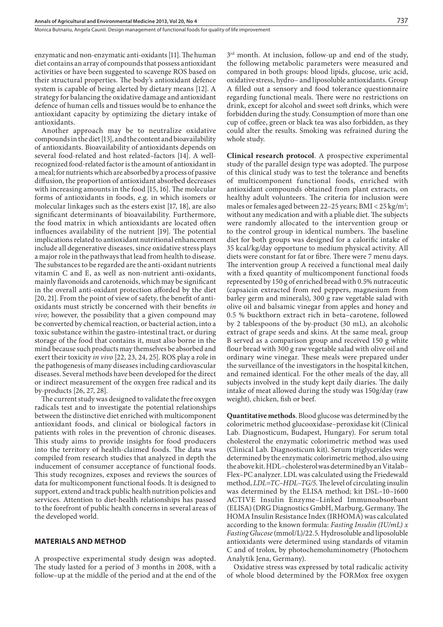Monica Butnariu, Angela Caunii . Design management of functional foods for quality of life improvement

enzymatic and non-enzymatic anti-oxidants [11]. The human diet contains an array of compounds that possess antioxidant activities or have been suggested to scavenge ROS based on their structural properties. The body's antioxidant defence system is capable of being alerted by dietary means [12]. A strategy for balancing the oxidative damage and antioxidant defence of human cells and tissues would be to enhance the antioxidant capacity by optimizing the dietary intake of antioxidants.

Another approach may be to neutralize oxidative compounds in the diet [13], and the content and bioavailability of antioxidants. Bioavailability of antioxidants depends on several food-related and host related–factors [14]. A wellrecognized food-related factor is the amount of antioxidant in a meal; for nutrients which are absorbed by a process of passive diffusion, the proportion of antioxidant absorbed decreases with increasing amounts in the food [15, 16]. The molecular forms of antioxidants in foods, e.g. in which isomers or molecular linkages such as the esters exist [17, 18], are also significant determinants of bioavailability. Furthermore, the food matrix in which antioxidants are located often influences availability of the nutrient [19]. The potential implications related to antioxidant nutritional enhancement include all degenerative diseases, since oxidative stress plays a major role in the pathways that lead from health to disease. The substances to be regarded are the anti-oxidant nutrients vitamin C and E, as well as non-nutrient anti-oxidants, mainly flavonoids and carotenoids, which may be significant in the overall anti-oxidant protection afforded by the diet [20, 21]. From the point of view of safety, the benefit of antioxidants must strictly be concerned with their benefits *in vivo*; however, the possibility that a given compound may be converted by chemical reaction, or bacterial action, into a toxic substance within the gastro-intestinal tract, or during storage of the food that contains it, must also borne in the mind because such products may themselves be absorbed and exert their toxicity *in vivo* [22, 23, 24, 25]. ROS play a role in the pathogenesis of many diseases including cardiovascular diseases. Several methods have been developed for the direct or indirect measurement of the oxygen free radical and its by-products [26, 27, 28].

The current study was designed to validate the free oxygen radicals test and to investigate the potential relationships between the distinctive diet enriched with multicomponent antioxidant foods, and clinical or biological factors in patients with roles in the prevention of chronic diseases. This study aims to provide insights for food producers into the territory of health-claimed foods. The data was compiled from research studies that analyzed in depth the inducement of consumer acceptance of functional foods. This study recognizes, exposes and reviews the sources of data for multicomponent functional foods. It is designed to support, extend and track public health nutrition policies and services. Attention to diet-health relationships has passed to the forefront of public health concerns in several areas of the developed world.

#### **MATERIALS AND METHOD**

A prospective experimental study design was adopted. The study lasted for a period of 3 months in 2008, with a follow–up at the middle of the period and at the end of the 3rd month. At inclusion, follow-up and end of the study, the following metabolic parameters were measured and compared in both groups: blood lipids, glucose, uric acid, oxidative stress, hydro– and liposoluble antioxidants. Group A filled out a sensory and food tolerance questionnaire regarding functional meals. There were no restrictions on drink, except for alcohol and sweet soft drinks, which were forbidden during the study. Consumption of more than one cup of coffee, green or black tea was also forbidden, as they could alter the results. Smoking was refrained during the whole study.

**Clinical research protocol**. A prospective experimental study of the parallel design type was adopted. The purpose of this clinical study was to test the tolerance and benefits of multicomponent functional foods, enriched with antioxidant compounds obtained from plant extracts, on healthy adult volunteers. The criteria for inclusion were males or females aged between 22–25 years;  $\text{BMI} < 25 \text{ kg/m}^2$ ; without any medication and with a pliable diet. The subjects were randomly allocated to the intervention group or to the control group in identical numbers. The baseline diet for both groups was designed for a calorific intake of 35 kcal/kg/day opportune to medium physical activity. All diets were constant for fat or fibre. There were 7 menu days. The intervention group A received a functional meal daily with a fixed quantity of multicomponent functional foods represented by 150 g of enriched bread with 0.5% nutraceutic (capsaicin extracted from red peppers, magnesium from barley germ and minerals), 300 g raw vegetable salad with olive oil and balsamic vinegar from apples and honey and 0.5 % buckthorn extract rich in beta–carotene, followed by 2 tablespoons of the by-product (30 mL), an alcoholic extract of grape seeds and skins. At the same meal, group B served as a comparison group and received 150 g white flour bread with 300 g raw vegetable salad with olive oil and ordinary wine vinegar. These meals were prepared under the surveillance of the investigators in the hospital kitchen, and remained identical. For the other meals of the day, all subjects involved in the study kept daily diaries. The daily intake of meat allowed during the study was 150g/day (raw weight), chicken, fish or beef.

**Quantitative methods**. Blood glucose was determined by the colorimetric method glucooxidase–peroxidase kit (Clinical Lab. Diagnosticum, Budapest, Hungary). For serum total cholesterol the enzymatic colorimetric method was used (Clinical Lab. Diagnosticum kit). Serum triglycerides were determined by the enzymatic colorimetric method, also using the above kit. HDL–cholesterol was determined by an Vitalab– Flex–PC analyzer. LDL was calculated using the Friedewald method, *LDL=TC–HDL–TG/5*. The level of circulating insulin was determined by the ELISA method; kit DSL–10–1600 ACTIVE Insulin Enzyme–Linked Immunoabsorbant (ELISA) (DRG Diagnostics GmbH, Marburg, Germany. The HOMA Insulin Resistance Index (IRHOMA) was calculated according to the known formula: *Fasting Insulin (IU/mL) x Fasting Glucose* (mmol/L)/22.5. Hydrosoluble and liposoluble antioxidants were determined using standards of vitamin C and of trolox, by photochemoluminometry (Photochem Analytik Jena, Germany).

Oxidative stress was expressed by total radicalic activity of whole blood determined by the FORMox free oxygen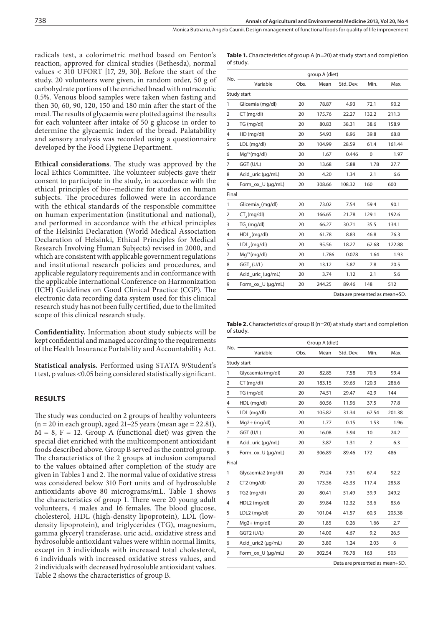**Table 1.** Characteristics of group A (n=20) at study start and completion

of study.

radicals test, a colorimetric method based on Fenton's reaction, approved for clinical studies (Bethesda), normal values < 310 UFORT [17, 29, 30]. Before the start of the study, 20 volunteers were given, in random order, 50 g of carbohydrate portions of the enriched bread with nutraceutic 0.5%. Venous blood samples were taken when fasting and then 30, 60, 90, 120, 150 and 180 min after the start of the meal. The results of glycaemia were plotted against the results for each volunteer after intake of 50 g glucose in order to determine the glycaemic index of the bread. Palatability and sensory analysis was recorded using a questionnaire developed by the Food Hygiene Department.

**Ethical considerations**. The study was approved by the local Ethics Committee. The volunteer subjects gave their consent to participate in the study, in accordance with the ethical principles of bio–medicine for studies on human subjects. The procedures followed were in accordance with the ethical standards of the responsible committee on human experimentation (institutional and national), and performed in accordance with the ethical principles of the Helsinki Declaration (World Medical Association Declaration of Helsinki, Ethical Principles for Medical Research Involving Human Subjects) revised in 2000, and which are consistent with applicable government regulations and institutional research policies and procedures, and applicable regulatory requirements and in conformance with the applicable International Conference on Harmonization (ICH) Guidelines on Good Clinical Practice (CGP). The electronic data recording data system used for this clinical research study has not been fully certified, due to the limited scope of this clinical research study.

**Confidentiality.** Information about study subjects will be kept confidential and managed according to the requirements of the Health Insurance Portability and Accountability Act.

**Statistical analysis.** Performed using STATA 9/Student's t test, p values <0.05 being considered statistically significant.

#### **RESULTS**

The study was conducted on 2 groups of healthy volunteers  $(n = 20$  in each group), aged 21–25 years (mean age = 22.81),  $M = 8$ ,  $F = 12$ . Group A (functional diet) was given the special diet enriched with the multicomponent antioxidant foods described above. Group B served as the control group. The characteristics of the 2 groups at inclusion compared to the values obtained after completion of the study are given in Tables 1 and 2. The normal value of oxidative stress was considered below 310 Fort units and of hydrosoluble antioxidants above 80 micrograms/mL. Table 1 shows the characteristics of group 1. There were 20 young adult volunteers, 4 males and 16 females. The blood glucose, cholesterol, HDL (high-density lipoprotein), LDL (lowdensity lipoprotein), and triglycerides (TG), magnesium, gamma glyceryl transferase, uric acid, oxidative stress and hydrosoluble antioxidant values were within normal limits, except in 3 individuals with increased total cholesterol, 6 individuals with increased oxidative stress values, and 2 individuals with decreased hydrosoluble antioxidant values. Table 2 shows the characteristics of group B.

|                | group A (diet)                 |      |        |           |          |        |  |
|----------------|--------------------------------|------|--------|-----------|----------|--------|--|
| No.            | Variable                       | Obs. | Mean   | Std. Dev. | Min.     | Max.   |  |
| Study start    |                                |      |        |           |          |        |  |
| 1              | Glicemia (mg/dl)               | 20   | 78.87  | 4.93      | 72.1     | 90.2   |  |
| $\overline{2}$ | CT (mg/dl)                     | 20   | 175.76 | 22.27     | 132.2    | 211.3  |  |
| 3              | TG (mg/dl)                     | 20   | 80.83  | 38.31     | 38.6     | 158.9  |  |
| 4              | HD (mg/dl)                     | 20   | 54.93  | 8.96      | 39.8     | 68.8   |  |
| 5              | LDL (mg/dl)                    | 20   | 104.99 | 28.59     | 61.4     | 161.44 |  |
| 6              | $Mq^{2+}(mq/dl)$               | 20   | 1.67   | 0.446     | $\Omega$ | 1.97   |  |
| 7              | GGT (U/L)                      | 20   | 13.68  | 5.88      | 1.78     | 27.7   |  |
| 8              | Acid_uric (µg/mL)              | 20   | 4.20   | 1.34      | 2.1      | 6.6    |  |
| 9              | Form_ox_U (µg/mL)              | 20   | 308.66 | 108.32    | 160      | 600    |  |
| Final          |                                |      |        |           |          |        |  |
| 1              | Glicemia, (mg/dl)              | 20   | 73.02  | 7.54      | 59.4     | 90.1   |  |
| 2              | CT, (mg/dl)                    | 20   | 166.65 | 21.78     | 129.1    | 192.6  |  |
| 3              | TG, (mg/dl)                    | 20   | 66.27  | 30.71     | 35.5     | 134.1  |  |
| 4              | HDL <sub>2</sub> (mg/dl)       | 20   | 61.78  | 8.83      | 46.8     | 76.3   |  |
| 5              | LDL <sub>2</sub> (mg/dl)       | 20   | 95.56  | 18.27     | 62.68    | 122.88 |  |
| 7              | $Mq^{2+}(mq/dl)$               | 20   | 1.786  | 0.078     | 1.64     | 1.93   |  |
| 8              | GGT, (U/L)                     | 20   | 13.12  | 3.87      | 7.8      | 20.5   |  |
| 6              | Acid_uric <sub>2</sub> (µg/mL) | 20   | 3.74   | 1.12      | 2.1      | 5.6    |  |
| 9              | Form_ox_U (µg/mL)              | 20   | 244.25 | 89.46     | 148      | 512    |  |
|                | Data are presented as mean+SD. |      |        |           |          |        |  |

**Table 2.** Characteristics of group B (n=20) at study start and completion of study.

| No.            | Group A (diet)     |                                |        |           |                |        |  |
|----------------|--------------------|--------------------------------|--------|-----------|----------------|--------|--|
|                | Variable           | Obs.                           | Mean   | Std. Dev. | Min.           | Max.   |  |
|                | Study start        |                                |        |           |                |        |  |
| 1              | Glycaemia (mg/dl)  | 20                             | 82.85  | 7.58      | 70.5           | 99.4   |  |
| $\overline{2}$ | $CT$ (mg/dl)       | 20                             | 183.15 | 39.63     | 120.3          | 286.6  |  |
| 3              | TG (mg/dl)         | 20                             | 74.51  | 29.47     | 42.9           | 144    |  |
| 4              | HDL (mg/dl)        | 20                             | 60.56  | 11.96     | 37.5           | 77.8   |  |
| 5              | LDL (mg/dl)        | 20                             | 105.82 | 31.34     | 67.54          | 201.38 |  |
| 6              | $Mq2+ (mq/dl)$     | 20                             | 1.77   | 0.15      | 1.53           | 1.96   |  |
| 7              | GGT (U/L)          | 20                             | 16.08  | 3.94      | 10             | 24.2   |  |
| 8              | Acid_uric (µg/mL)  | 20                             | 3.87   | 1.31      | $\overline{2}$ | 6.3    |  |
| 9              | Form_ox_U (µg/mL)  | 20                             | 306.89 | 89.46     | 172            | 486    |  |
| Final          |                    |                                |        |           |                |        |  |
| $\mathbf{1}$   | Glycaemia2 (mg/dl) | 20                             | 79.24  | 7.51      | 67.4           | 92.2   |  |
| 2              | CT2 (mg/dl)        | 20                             | 173.56 | 45.33     | 117.4          | 285.8  |  |
| 3              | TG2 (mg/dl)        | 20                             | 80.41  | 51.49     | 39.9           | 249.2  |  |
| 4              | HDL2 (mg/dl)       | 20                             | 59.84  | 12.32     | 33.6           | 83.6   |  |
| 5              | LDL2 (mg/dl)       | 20                             | 101.04 | 41.57     | 60.3           | 205.38 |  |
| 7              | $Mq2+ (mq/dl)$     | 20                             | 1.85   | 0.26      | 1.66           | 2.7    |  |
| 8              | <b>GGT2 (U/L)</b>  | 20                             | 14.00  | 4.67      | 9.2            | 26.5   |  |
| 6              | Acid_uric2 (µg/mL) | 20                             | 3.80   | 1.24      | 2.03           | 6      |  |
| 9              | Form_ox_U (µg/mL)  | 20                             | 302.54 | 76.78     | 163            | 503    |  |
|                |                    | Data are presented as mean+SD. |        |           |                |        |  |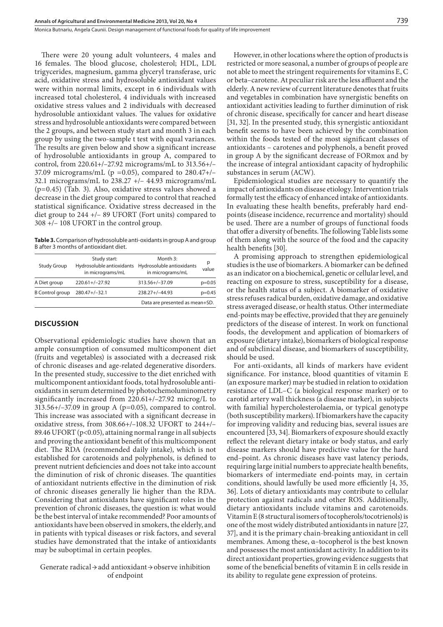Monica Butnariu, Angela Caunii . Design management of functional foods for quality of life improvement

There were 20 young adult volunteers, 4 males and 16 females. The blood glucose, cholesterol; HDL, LDL trigycerides, magnesium, gamma glyceryl transferase, uric acid, oxidative stress and hydrosoluble antioxidant values were within normal limits, except in 6 individuals with increased total cholesterol, 4 individuals with increased oxidative stress values and 2 individuals with decreased hydrosoluble antioxidant values. The values for oxidative stress and hydrosoluble antioxidants were compared between the 2 groups, and between study start and month 3 in each group by using the two-sample t test with equal variances. The results are given below and show a significant increase of hydrosoluble antioxidants in group A, compared to control, from 220.61+/–27.92 micrograms/mL to 313.56+/– 37.09 micrograms/mL ( $p = 0.05$ ), compared to 280.47+/-32.1 micrograms/mL to 238.27 +/– 44.93 micrograms/mL (p=0.45) (Tab. 3). Also, oxidative stress values showed a decrease in the diet group compared to control that reached statistical significance. Oxidative stress decreased in the diet group to 244 +/– 89 UFORT (Fort units) compared to 308 +/– 108 UFORT in the control group.

**Table 3.** Comparison of hydrosoluble anti-oxidants in group A and group B after 3 months of antioxidant diet.

| Study Group            | Study start:<br>in micrograms/mL | Month 3:<br>Hydrosoluble antioxidants Hydrosoluble antioxidants<br>in micrograms/mL | р<br>value |
|------------------------|----------------------------------|-------------------------------------------------------------------------------------|------------|
| A Diet group           | $220.61 + / -27.92$              | 313.56+/-37.09                                                                      | $p=0.05$   |
| <b>B</b> Control group | 280.47+/-32.1                    | $238.27 + (-44.93)$                                                                 | $p=0.45$   |
|                        |                                  | Data are presented as mean+SD.                                                      |            |

#### **DISCUSSION**

Observational epidemiologic studies have shown that an ample consumption of consumed multicomponent diet (fruits and vegetables) is associated with a decreased risk of chronic diseases and age-related degenerative disorders. In the presented study, successive to the diet enriched with multicomponent antioxidant foods, total hydrosoluble antioxidants in serum determined by photochemoluminometry significantly increased from 220.61+/–27.92 microg/L to  $313.56+/-37.09$  in group A (p=0.05), compared to control. This increase was associated with a significant decrease in oxidative stress, from 308.66+/–108.32 UFORT to 244+/– 89.46 UFORT (p<0.05), attaining normal range in all subjects and proving the antioxidant benefit of this multicomponent diet. The RDA (recommended daily intake), which is not established for carotenoids and polyphenols, is defined to prevent nutrient deficiencies and does not take into account the diminution of risk of chronic diseases. The quantities of antioxidant nutrients effective in the diminution of risk of chronic diseases generally lie higher than the RDA. Considering that antioxidants have significant roles in the prevention of chronic diseases, the question is: what would be the best interval of intake recommended? Poor amounts of antioxidants have been observed in smokers, the elderly, and in patients with typical diseases or risk factors, and several studies have demonstrated that the intake of antioxidants may be suboptimal in certain peoples.

Generate radical→add antioxidant→observe inhibition of endpoint

However, in other locations where the option of products is restricted or more seasonal, a number of groups of people are not able to meet the stringent requirements for vitamins E, C or beta–carotene. At peculiar risk are the less affluent and the elderly. A new review of current literature denotes that fruits and vegetables in combination have synergistic benefits on antioxidant activities leading to further diminution of risk of chronic disease, specifically for cancer and heart disease [31, 32]. In the presented study, this synergistic antioxidant benefit seems to have been achieved by the combination within the foods tested of the most significant classes of antioxidants – carotenes and polyphenols, a benefit proved in group A by the significant decrease of FORmox and by the increase of integral antioxidant capacity of hydrophilic substances in serum (ACW).

Epidemiological studies are necessary to quantify the impact of antioxidants on disease etiology. Intervention trials formally test the efficacy of enhanced intake of antioxidants. In evaluating these health benefits, preferably hard endpoints (disease incidence, recurrence and mortality) should be used. There are a number of groups of functional foods that offer a diversity of benefits. The following Table lists some of them along with the source of the food and the capacity health benefits [30].

A promising approach to strengthen epidemiological studies is the use of biomarkers. A biomarker can be defined as an indicator on a biochemical, genetic or cellular level, and reacting on exposure to stress, susceptibility for a disease, or the health status of a subject. A biomarker of oxidative stress refuses radical burden, oxidative damage, and oxidative stress averaged disease, or health status. Other intermediate end-points may be effective, provided that they are genuinely predictors of the disease of interest. In work on functional foods, the development and application of biomarkers of exposure (dietary intake), biomarkers of biological response and of subclinical disease, and biomarkers of susceptibility, should be used.

For anti-oxidants, all kinds of markers have evident significance. For instance, blood quantities of vitamin E (an exposure marker) may be studied in relation to oxidation resistance of LDL–C (a biological response marker) or to carotid artery wall thickness (a disease marker), in subjects with familial hypercholesterolaemia, or typical genotype (both susceptibility markers). If biomarkers have the capacity for improving validity and reducing bias, several issues are encountered [33, 34]. Biomarkers of exposure should exactly reflect the relevant dietary intake or body status, and early disease markers should have predictive value for the hard end–point. As chronic diseases have vast latency periods, requiring large initial numbers to appreciate health benefits, biomarkers of intermediate end-points may, in certain conditions, should lawfully be used more efficiently [4, 35, 36]. Lots of dietary antioxidants may contribute to cellular protection against radicals and other ROS. Additionally, dietary antioxidants include vitamins and carotenoids. Vitamin E (8 structural isomers of tocopherols/tocotrienols) is one of the most widely distributed antioxidants in nature [27, 37], and it is the primary chain-breaking antioxidant in cell membranes. Among these, α–tocopherol is the best known and possesses the most antioxidant activity. In addition to its direct antioxidant properties, growing evidence suggests that some of the beneficial benefits of vitamin E in cells reside in its ability to regulate gene expression of proteins.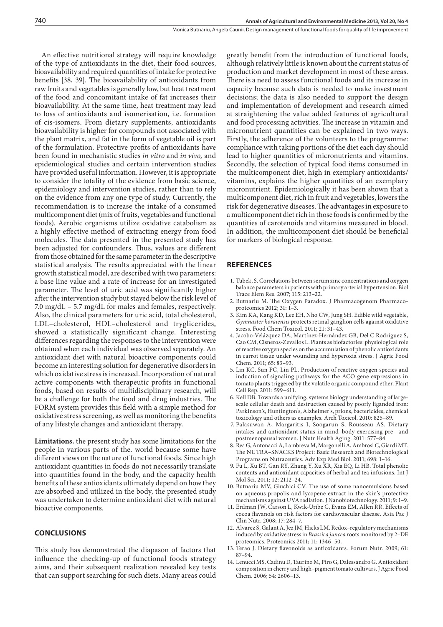An effective nutritional strategy will require knowledge of the type of antioxidants in the diet, their food sources, bioavailability and required quantities of intake for protective benefits [38, 39]. The bioavailability of antioxidants from raw fruits and vegetables is generally low, but heat treatment of the food and concomitant intake of fat increases their bioavailability. At the same time, heat treatment may lead to loss of antioxidants and isomerisation, i.e. formation of cis-isomers. From dietary supplements, antioxidants bioavailability is higher for compounds not associated with the plant matrix, and fat in the form of vegetable oil is part of the formulation. Protective profits of antioxidants have been found in mechanistic studies *in vitro* and *in vivo,* and epidemiological studies and certain intervention studies have provided useful information. However, it is appropriate to consider the totality of the evidence from basic science, epidemiology and intervention studies, rather than to rely on the evidence from any one type of study. Currently, the recommendation is to increase the intake of a consumed multicomponent diet (mix of fruits, vegetables and functional foods). Aerobic organisms utilize oxidative catabolism as a highly effective method of extracting energy from food molecules. The data presented in the presented study has been adjusted for confounders. Thus, values are different from those obtained for the same parameter in the descriptive statistical analysis. The results appreciated with the linear growth statistical model, are described with two parameters: a base line value and a rate of increase for an investigated parameter. The level of uric acid was significantly higher after the intervention study but stayed below the risk level of 7.0 mg/dL – 5.7 mg/dL for males and females, respectively. Also, the clinical parameters for uric acid, total cholesterol, LDL–cholesterol, HDL–cholesterol and tryglicerides, showed a statistically significant change. Interesting differences regarding the responses to the intervention were obtained when each individual was observed separately. An antioxidant diet with natural bioactive components could become an interesting solution for degenerative disorders in which oxidative stress is increased. Incorporation of natural active components with therapeutic profits in functional foods, based on results of multidisciplinary research, will be a challenge for both the food and drug industries. The FORM system provides this field with a simple method for oxidative stress screening, as well as monitoring the benefits of any lifestyle changes and antioxidant therapy.

**Limitations.** the present study has some limitations for the people in various parts of the. world because some have different views on the nature of functional foods. Since high antioxidant quantities in foods do not necessarily translate into quantities found in the body, and the capacity health benefits of these antioxidants ultimately depend on how they are absorbed and utilized in the body, the presented study was undertaken to determine antioxidant diet with natural bioactive components.

## **CONCLUSIONS**

This study has demonstrated the diapason of factors that influence the checking-up of functional foods strategy aims, and their subsequent realization revealed key tests that can support searching for such diets. Many areas could

greatly benefit from the introduction of functional foods, although relatively little is known about the current status of production and market development in most of these areas. There is a need to assess functional foods and its increase in capacity because such data is needed to make investment decisions; the data is also needed to support the design and implementation of development and research aimed at straightening the value added features of agricultural and food processing activities. The increase in vitamin and micronutrient quantities can be explained in two ways. Firstly, the adherence of the volunteers to the programme: compliance with taking portions of the diet each day should lead to higher quantities of micronutrients and vitamins. Secondly, the selection of typical food items consumed in the multicomponent diet, high in exemplary antioxidants/ vitamins, explains the higher quantities of an exemplary micronutrient. Epidemiologically it has been shown that a multicomponent diet, rich in fruit and vegetables, lowers the risk for degenerative diseases. The advantages in exposure to a multicomponent diet rich in those foods is confirmed by the quantities of carotenoids and vitamins measured in blood. In addition, the multicomponent diet should be beneficial for markers of biological response.

#### **REFERENCES**

- 1. Tubek, S. Correlations between serum zinc concentrations and oxygen balance parameters in patients with primary arterial hypertension. Biol Trace Elem Res. 2007; 115: 213–22.
- 2. Butnariu M. The Oxygen Paradox. J Pharmacogenom Pharmacoproteomics 2012; 31: 1–3.
- 3. Kim KA, Kang KD, Lee EH, Nho CW, Jung SH. Edible wild vegetable, *Gymnaster koraiensis* protects retinal ganglion cells against oxidative stress. Food Chem Toxicol. 2011; 21: 31–43.
- 4. Jacobo-Velázquez DA, Martínez-Hernández GB, Del C Rodríguez S, Cao CM, Cisneros-Zevallos L. Plants as biofactories: physiological role of reactive oxygen species on the accumulation of phenolic antioxidants in carrot tissue under wounding and hyperoxia stress. J Agric Food Chem. 2011; 65: 83–93.
- 5. Lin KC, Sun PC, Lin PL. Production of reactive oxygen species and induction of signaling pathways for the ACO gene expressions in tomato plants triggered by the volatile organic compound ether. Plant Cell Rep. 2011: 599–611.
- 6. Kell DB. Towards a unifying, systems biology understanding of largescale cellular death and destruction caused by poorly liganded iron: Parkinson's, Huntington's, Alzheimer's, prions, bactericides, chemical toxicology and others as examples. Arch Toxicol. 2010: 825–89.
- 7. Palasuwan A, Margaritis I, Soogarun S, Rousseau AS. Dietary intakes and antioxidant status in mind–body exercising pre– and postmenopausal women. J Nutr Health Aging. 2011: 577–84.
- 8. Rea G, Antonacci A, Lambreva M, Margonelli A, Ambrosi C, Giardi MT. The NUTRA–SNACKS Project: Basic Research and Biotechnological Programs on Nutraceutics. Adv Exp Med Biol. 2011; 698: 1–16.
- 9. Fu L, Xu BT, Gan RY, Zhang Y, Xu XR, Xia EQ, Li HB. Total phenolic contents and antioxidant capacities of herbal and tea infusions. Int J Mol Sci. 2011; 12: 2112–24.
- 10. Butnariu MV, Giuchici CV. The use of some nanoemulsions based on aqueous propolis and lycopene extract in the skin's protective mechanisms against UVA radiation. J Nanobiotechnology. 2011; 9: 1–9.
- 11. Erdman JW, Carson L, Kwik-Uribe C, Evans EM, Allen RR. Effects of cocoa flavanols on risk factors for cardiovascular disease. Asia Pac J Clin Nutr. 2008; 17: 284–7.
- 12. Alvarez S, Galant A, Jez JM, Hicks LM. Redox–regulatory mechanisms induced by oxidative stress in *Brassica juncea* roots monitored by 2–DE proteomics. Proteomics 2011; 11: 1346–50.
- 13. Terao J. Dietary flavonoids as antioxidants. Forum Nutr. 2009; 61: 87–94.
- 14. Lenucci MS, Cadinu D, Taurino M, Piro G, Dalessandro G. Antioxidant composition in cherry and high–pigment tomato cultivars. J Agric Food Chem. 2006; 54: 2606–13.